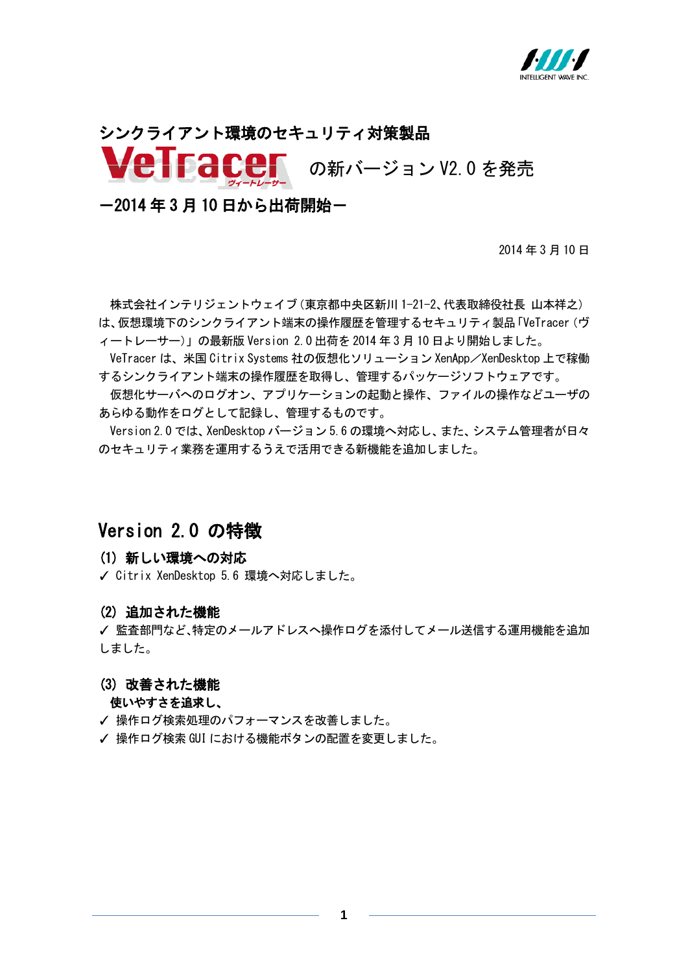

# シンクライアント環境のセキュリティ対策製品 の新バージョン V2.0 を発売

-2014 年 3 月 10 日から出荷開始-

2014 年 3 月 10 日

株式会社インテリジェントウェイブ(東京都中央区新川 1-21-2、代表取締役社長 山本祥之) は、仮想環境下のシンクライアント端末の操作履歴を管理するセキュリティ製品「VeTracer(ヴ ィートレーサー)」の最新版 Version 2.0 出荷を 2014 年 3 月 10 日より開始しました。

VeTracer は、米国 Citrix Systems 社の仮想化ソリューション XenApp/XenDesktop 上で稼働 するシンクライアント端末の操作履歴を取得し、管理するパッケージソフトウェアです。

仮想化サーバへのログオン、アプリケーションの起動と操作、ファイルの操作などユーザの あらゆる動作をログとして記録し、管理するものです。

Version 2.0 では、XenDesktop バージョン 5.6 の環境へ対応し、また、システム管理者が日々 のセキュリティ業務を運用するうえで活用できる新機能を追加しました。

## Version 2.0 の特徴

#### (1) 新しい環境への対応

✓ Citrix XenDesktop 5.6 環境へ対応しました。

### (2) 追加された機能

✓ 監査部門など、特定のメールアドレスへ操作ログを添付してメール送信する運用機能を追加 しました。

#### (3) 改善された機能

#### 使いやすさを追求し、

- ✓ 操作ログ検索処理のパフォーマンスを改善しました。
- ✓ 操作ログ検索 GUI における機能ボタンの配置を変更しました。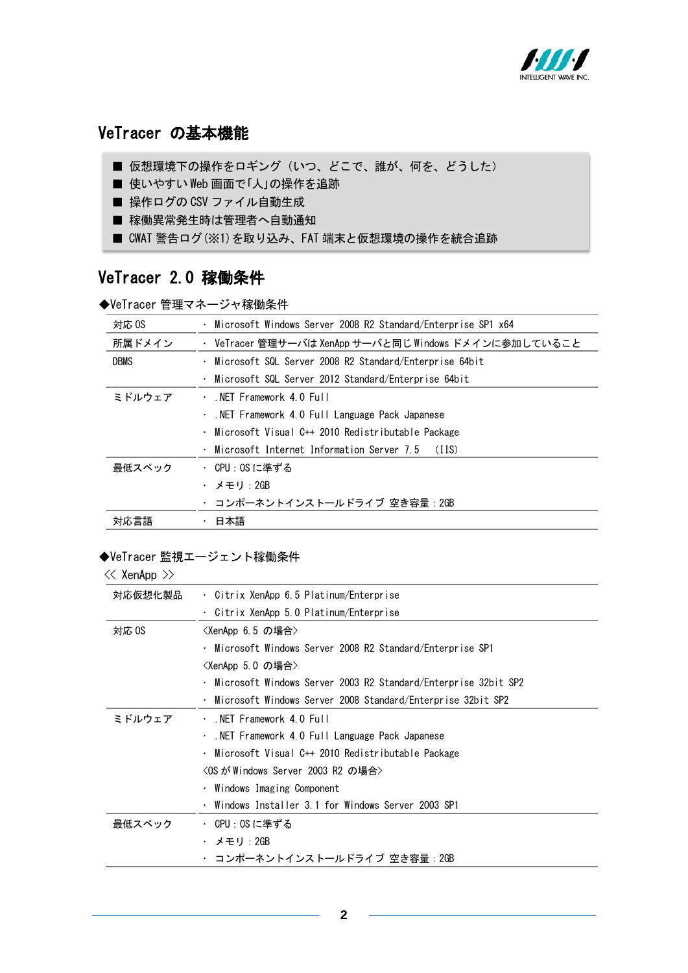

## VeTracer の基本機能

- 仮想環境下の操作をロギング(いつ、どこで、誰が、何を、どうした)
- 使いやすい Web 画面で「人」の操作を追跡
- 操作ログの CSV ファイル自動生成
- 稼働異常発生時は管理者へ自動通知

■ CWAT 警告ログ(※1)を取り込み、FAT 端末と仮想環境の操作を統合追跡

## VeTracer 2.0 稼働条件

◆VeTracer 管理マネージャ稼働条件

| 対応 0S       | · Microsoft Windows Server 2008 R2 Standard/Enterprise SP1 x64 |
|-------------|----------------------------------------------------------------|
| 所属ドメイン      | ・ VeTracer 管理サーバは XenApp サーバと同じ Windows ドメインに参加していること          |
| <b>DBMS</b> | · Microsoft SQL Server 2008 R2 Standard/Enterprise 64bit       |
|             | Microsoft SQL Server 2012 Standard/Enterprise 64bit            |
| ミドルウェア      | . NET Framework 4.0 Full                                       |
|             | . NET Framework 4.0 Full Language Pack Japanese                |
|             | · Microsoft Visual C++ 2010 Redistributable Package            |
|             | $\cdot$ Microsoft Internet Information Server 7.5 (IIS)        |
| 最低スペック      | ・ CPU:OS に準ずる                                                  |
|             | ・ メモリ:2GB                                                      |
|             | ・ コンポーネントインストールドライブ 空き容量 : 2GB                                 |
| 対応言語        | ・ 日本語                                                          |

#### ◆VeTracer 監視エージェント稼働条件

| $\ll$ XenApp $\gg$ |                                                                  |
|--------------------|------------------------------------------------------------------|
| 対応仮想化製品            | · Citrix XenApp 6.5 Platinum/Enterprise                          |
|                    | · Citrix XenApp 5.0 Platinum/Enterprise                          |
| 対応 0S              | <xenapp 6.5="" の場合=""></xenapp>                                  |
|                    | · Microsoft Windows Server 2008 R2 Standard/Enterprise SP1       |
|                    | <xenapp 5.0="" の場合=""></xenapp>                                  |
|                    | · Microsoft Windows Server 2003 R2 Standard/Enterprise 32bit SP2 |
|                    | · Microsoft Windows Server 2008 Standard/Enterprise 32bit SP2    |
| ミドルウェア             | $\cdot$ NET Framework 4.0 Full                                   |
|                    | . NET Framework 4.0 Full Language Pack Japanese                  |
|                    | · Microsoft Visual C++ 2010 Redistributable Package              |
|                    | <os 2003="" r2="" server="" がwindows="" の場合=""></os>             |
|                    | · Windows Imaging Component                                      |
|                    | Windows Installer 3.1 for Windows Server 2003 SP1                |
| 最低スペック             | ・ CPU:OS に準ずる                                                    |
|                    | ・ メモリ:2GB                                                        |
|                    | ・ コンポーネントインストールドライブ 空き容量 : 2GB                                   |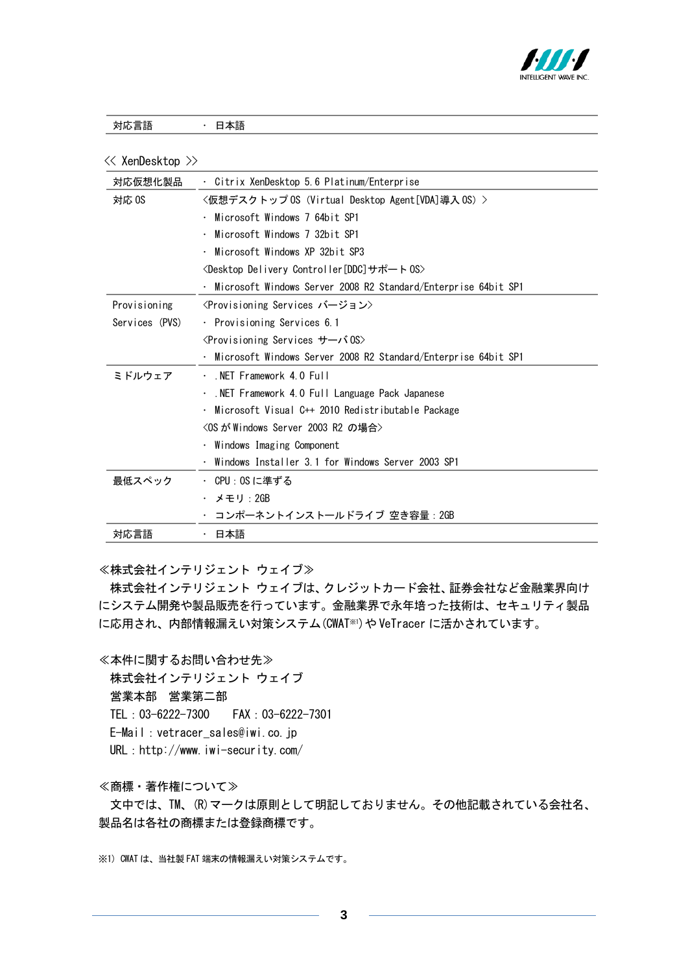

| 対応言語 |  | 日本語 |
|------|--|-----|
|------|--|-----|

|  |  | ≪ XenDesktop >> |  |
|--|--|-----------------|--|
|--|--|-----------------|--|

≪株式会社インテリジェント ウェイブ≫

株式会社インテリジェント ウェイブは、クレジットカード会社、証券会社など金融業界向け にシステム開発や製品販売を行っています。金融業界で永年培った技術は、セキュリティ製品 に応用され、内部情報漏えい対策システム(CWAT※1)やVeTracer に活かされています。

≪本件に関するお問い合わせ先≫ 株式会社インテリジェント ウェイブ 営業本部 営業第二部 TEL:03-6222-7300 FAX:03-6222-7301

E-Mail:vetracer\_sales@iwi.co.jp

URL: http://www.iwi-security.com/

≪商標・著作権について≫

文中では、TM、(R)マークは原則として明記しておりません。その他記載されている会社名、 製品名は各社の商標または登録商標です。

※1) CWAT は、当社製 FAT 端末の情報漏えい対策システムです。